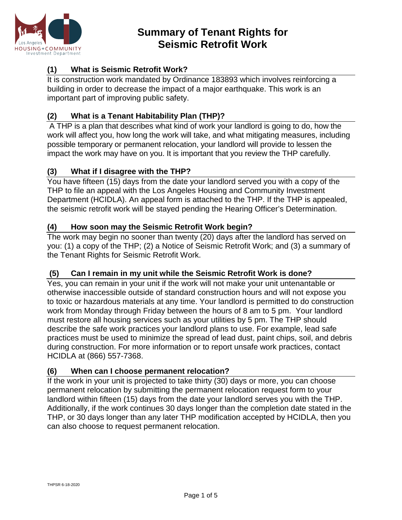

# **(1) What is Seismic Retrofit Work?**

It is construction work mandated by Ordinance 183893 which involves reinforcing a building in order to decrease the impact of a major earthquake. This work is an important part of improving public safety.

# **(2) What is a Tenant Habitability Plan (THP)?**

A THP is a plan that describes what kind of work your landlord is going to do, how the work will affect you, how long the work will take, and what mitigating measures, including possible temporary or permanent relocation, your landlord will provide to lessen the impact the work may have on you. It is important that you review the THP carefully.

## **(3) What if I disagree with the THP?**

You have fifteen (15) days from the date your landlord served you with a copy of the THP to file an appeal with the Los Angeles Housing and Community Investment Department (HCIDLA). An appeal form is attached to the THP. If the THP is appealed, the seismic retrofit work will be stayed pending the Hearing Officer's Determination.

## **(4) How soon may the Seismic Retrofit Work begin?**

The work may begin no sooner than twenty (20) days after the landlord has served on you: (1) a copy of the THP; (2) a Notice of Seismic Retrofit Work; and (3) a summary of the Tenant Rights for Seismic Retrofit Work.

## **(5) Can I remain in my unit while the Seismic Retrofit Work is done?**

Yes, you can remain in your unit if the work will not make your unit untenantable or otherwise inaccessible outside of standard construction hours and will not expose you to toxic or hazardous materials at any time. Your landlord is permitted to do construction work from Monday through Friday between the hours of 8 am to 5 pm. Your landlord must restore all housing services such as your utilities by 5 pm. The THP should describe the safe work practices your landlord plans to use. For example, lead safe practices must be used to minimize the spread of lead dust, paint chips, soil, and debris during construction. For more information or to report unsafe work practices, contact HCIDLA at (866) 557-7368.

## **(6) When can I choose permanent relocation?**

If the work in your unit is projected to take thirty (30) days or more, you can choose permanent relocation by submitting the permanent relocation request form to your landlord within fifteen (15) days from the date your landlord serves you with the THP. Additionally, if the work continues 30 days longer than the completion date stated in the THP, or 30 days longer than any later THP modification accepted by HCIDLA, then you can also choose to request permanent relocation.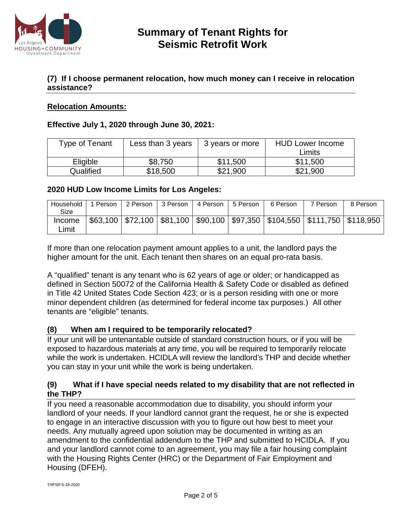

# **(7) If I choose permanent relocation, how much money can I receive in relocation assistance?**

#### **Relocation Amounts:**

#### **Effective July 1, 2020 through June 30, 2021:**

| <b>Type of Tenant</b> | Less than 3 years | 3 years or more | <b>HUD Lower Income</b> |  |  |
|-----------------------|-------------------|-----------------|-------------------------|--|--|
|                       |                   |                 | Limits                  |  |  |
| <b>Eligible</b>       | \$8,750           | \$11,500        | \$11,500                |  |  |
| Qualified             | \$18,500          | \$21,900        | \$21,900                |  |  |

#### **2020 HUD Low Income Limits for Los Angeles:**

| Household<br>Size | 1 Person | 2 Person   3 Person   4 Person   5 Person |  | 6 Person | 7 Person                                                                                 | 8 Person |
|-------------------|----------|-------------------------------------------|--|----------|------------------------------------------------------------------------------------------|----------|
| Income            |          |                                           |  |          | \$63,100   \$72,100   \$81,100   \$90,100   \$97,350   \$104,550   \$111,750   \$118,950 |          |
| ∟imit             |          |                                           |  |          |                                                                                          |          |

If more than one relocation payment amount applies to a unit, the landlord pays the higher amount for the unit. Each tenant then shares on an equal pro-rata basis.

A "qualified" tenant is any tenant who is 62 years of age or older; or handicapped as defined in Section 50072 of the California Health & Safety Code or disabled as defined in Title 42 United States Code Section 423; or is a person residing with one or more minor dependent children (as determined for federal income tax purposes.) All other tenants are "eligible" tenants.

#### **(8) When am I required to be temporarily relocated?**

If your unit will be untenantable outside of standard construction hours, or if you will be exposed to hazardous materials at any time, you will be required to temporarily relocate while the work is undertaken. HCIDLA will review the landlord's THP and decide whether you can stay in your unit while the work is being undertaken.

#### **(9) What if I have special needs related to my disability that are not reflected in the THP?**

If you need a reasonable accommodation due to disability, you should inform your landlord of your needs. If your landlord cannot grant the request, he or she is expected to engage in an interactive discussion with you to figure out how best to meet your needs. Any mutually agreed upon solution may be documented in writing as an amendment to the confidential addendum to the THP and submitted to HCIDLA. If you and your landlord cannot come to an agreement, you may file a fair housing complaint with the Housing Rights Center (HRC) or the Department of Fair Employment and Housing (DFEH).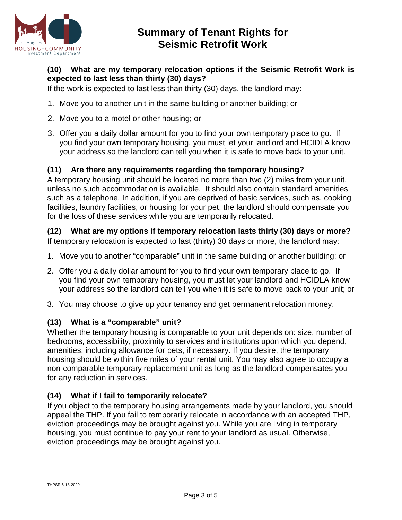

# **Summary of Tenant Rights for Seismic Retrofit Work**

# **(10) What are my temporary relocation options if the Seismic Retrofit Work is expected to last less than thirty (30) days?**

If the work is expected to last less than thirty (30) days, the landlord may:

- 1. Move you to another unit in the same building or another building; or
- 2. Move you to a motel or other housing; or
- 3. Offer you a daily dollar amount for you to find your own temporary place to go. If you find your own temporary housing, you must let your landlord and HCIDLA know your address so the landlord can tell you when it is safe to move back to your unit.

# **(11) Are there any requirements regarding the temporary housing?**

A temporary housing unit should be located no more than two (2) miles from your unit, unless no such accommodation is available. It should also contain standard amenities such as a telephone. In addition, if you are deprived of basic services, such as, cooking facilities, laundry facilities, or housing for your pet, the landlord should compensate you for the loss of these services while you are temporarily relocated.

#### **(12) What are my options if temporary relocation lasts thirty (30) days or more?**

If temporary relocation is expected to last (thirty) 30 days or more, the landlord may:

- 1. Move you to another "comparable" unit in the same building or another building; or
- 2. Offer you a daily dollar amount for you to find your own temporary place to go. If you find your own temporary housing, you must let your landlord and HCIDLA know your address so the landlord can tell you when it is safe to move back to your unit; or
- 3. You may choose to give up your tenancy and get permanent relocation money.

#### **(13) What is a "comparable" unit?**

Whether the temporary housing is comparable to your unit depends on: size, number of bedrooms, accessibility, proximity to services and institutions upon which you depend, amenities, including allowance for pets, if necessary. If you desire, the temporary housing should be within five miles of your rental unit. You may also agree to occupy a non-comparable temporary replacement unit as long as the landlord compensates you for any reduction in services.

## **(14) What if I fail to temporarily relocate?**

If you object to the temporary housing arrangements made by your landlord, you should appeal the THP. If you fail to temporarily relocate in accordance with an accepted THP, eviction proceedings may be brought against you. While you are living in temporary housing, you must continue to pay your rent to your landlord as usual. Otherwise, eviction proceedings may be brought against you.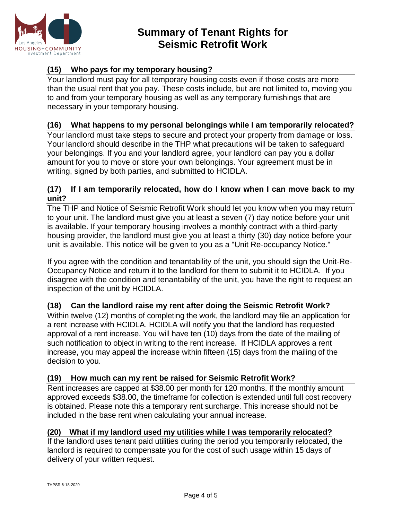

# **Summary of Tenant Rights for Seismic Retrofit Work**

# **(15) Who pays for my temporary housing?**

Your landlord must pay for all temporary housing costs even if those costs are more than the usual rent that you pay. These costs include, but are not limited to, moving you to and from your temporary housing as well as any temporary furnishings that are necessary in your temporary housing.

### **(16) What happens to my personal belongings while I am temporarily relocated?**

Your landlord must take steps to secure and protect your property from damage or loss. Your landlord should describe in the THP what precautions will be taken to safeguard your belongings. If you and your landlord agree, your landlord can pay you a dollar amount for you to move or store your own belongings. Your agreement must be in writing, signed by both parties, and submitted to HCIDLA.

#### **(17) If I am temporarily relocated, how do I know when I can move back to my unit?**

The THP and Notice of Seismic Retrofit Work should let you know when you may return to your unit. The landlord must give you at least a seven (7) day notice before your unit is available. If your temporary housing involves a monthly contract with a third-party housing provider, the landlord must give you at least a thirty (30) day notice before your unit is available. This notice will be given to you as a "Unit Re-occupancy Notice."

If you agree with the condition and tenantability of the unit, you should sign the Unit-Re-Occupancy Notice and return it to the landlord for them to submit it to HCIDLA. If you disagree with the condition and tenantability of the unit, you have the right to request an inspection of the unit by HCIDLA.

## **(18) Can the landlord raise my rent after doing the Seismic Retrofit Work?**

Within twelve (12) months of completing the work, the landlord may file an application for a rent increase with HCIDLA. HCIDLA will notify you that the landlord has requested approval of a rent increase. You will have ten (10) days from the date of the mailing of such notification to object in writing to the rent increase. If HCIDLA approves a rent increase, you may appeal the increase within fifteen (15) days from the mailing of the decision to you.

#### **(19) How much can my rent be raised for Seismic Retrofit Work?**

Rent increases are capped at \$38.00 per month for 120 months. If the monthly amount approved exceeds \$38.00, the timeframe for collection is extended until full cost recovery is obtained. Please note this a temporary rent surcharge. This increase should not be included in the base rent when calculating your annual increase.

#### **(20) What if my landlord used my utilities while I was temporarily relocated?**

If the landlord uses tenant paid utilities during the period you temporarily relocated, the landlord is required to compensate you for the cost of such usage within 15 days of delivery of your written request.